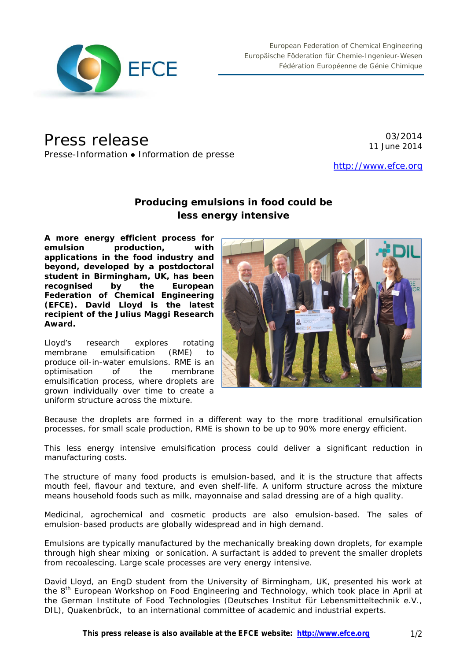

# Press release

Presse-Information • Information de presse

03/2014 11 June 2014

[http://www.efce.org](http://www.efce.org/)

# **Producing emulsions in food could be less energy intensive**

**A more energy efficient process for emulsion production, with applications in the food industry and beyond, developed by a postdoctoral student in Birmingham, UK, has been recognised by the European Federation of Chemical Engineering (EFCE). David Lloyd is the latest recipient of the Julius Maggi Research Award.**

Lloyd's research explores rotating membrane emulsification (RME) to produce oil-in-water emulsions. RME is an optimisation of the membrane emulsification process, where droplets are grown individually over time to create a uniform structure across the mixture.



Because the droplets are formed in a different way to the more traditional emulsification processes, for small scale production, RME is shown to be up to 90% more energy efficient.

This less energy intensive emulsification process could deliver a significant reduction in manufacturing costs.

The structure of many food products is emulsion-based, and it is the structure that affects mouth feel, flavour and texture, and even shelf-life. A uniform structure across the mixture means household foods such as milk, mayonnaise and salad dressing are of a high quality.

Medicinal, agrochemical and cosmetic products are also emulsion-based. The sales of emulsion-based products are globally widespread and in high demand.

Emulsions are typically manufactured by the mechanically breaking down droplets, for example through high shear mixing or sonication. A surfactant is added to prevent the smaller droplets from recoalescing. Large scale processes are very energy intensive.

David Lloyd, an EngD student from the University of Birmingham, UK, presented his work at the 8<sup>th</sup> European Workshop on Food Engineering and Technology, which took place in April at the German Institute of Food Technologies (Deutsches Institut für Lebensmitteltechnik e.V., DIL), Quakenbrück, to an international committee of academic and industrial experts.